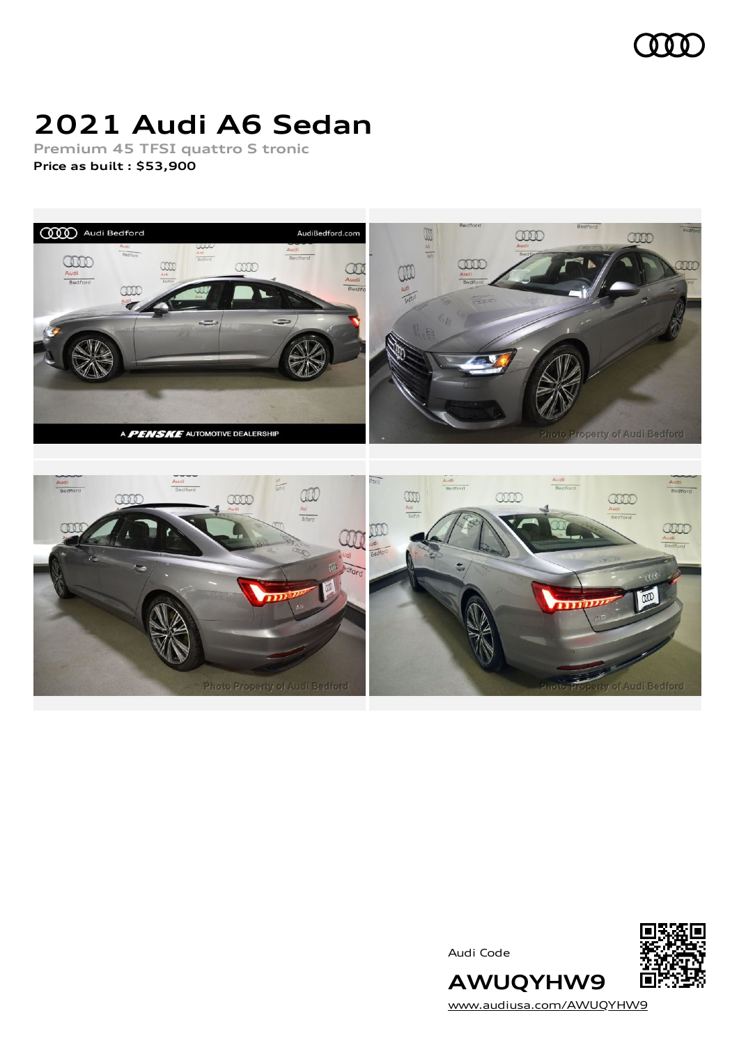

# **2021 Audi A6 Sedan**

**Premium 45 TFSI quattro S tronic Price as built [:](#page-8-0) \$53,900**





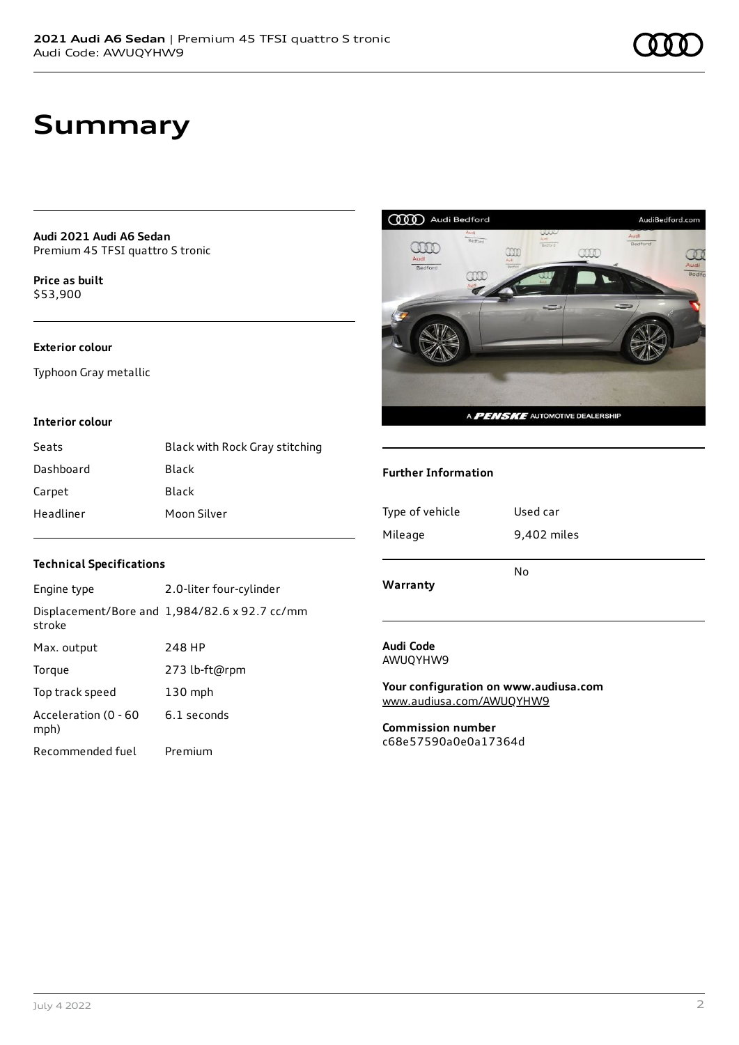**Audi 2021 Audi A6 Sedan** Premium 45 TFSI quattro S tronic

**Price as buil[t](#page-8-0)** \$53,900

### **Exterior colour**

Typhoon Gray metallic

### **Interior colour**

| Seats     | Black with Rock Gray stitching |
|-----------|--------------------------------|
| Dashboard | Black                          |
| Carpet    | Black                          |
| Headliner | Moon Silver                    |



### **Further Information**

| Type of vehicle | Used car    |
|-----------------|-------------|
| Mileage         | 9,402 miles |
| Warranty        | No          |
|                 |             |

#### **Technical Specifications**

| Engine type                  | 2.0-liter four-cylinder                       |
|------------------------------|-----------------------------------------------|
| stroke                       | Displacement/Bore and 1,984/82.6 x 92.7 cc/mm |
| Max. output                  | 248 HP                                        |
| Torque                       | 273 lb-ft@rpm                                 |
| Top track speed              | $130$ mph                                     |
| Acceleration (0 - 60<br>mph) | 6.1 seconds                                   |
| Recommended fuel             | Premium                                       |

#### **Audi Code** AWUQYHW9

**Your configuration on www.audiusa.com** [www.audiusa.com/AWUQYHW9](https://www.audiusa.com/AWUQYHW9)

**Commission number** c68e57590a0e0a17364d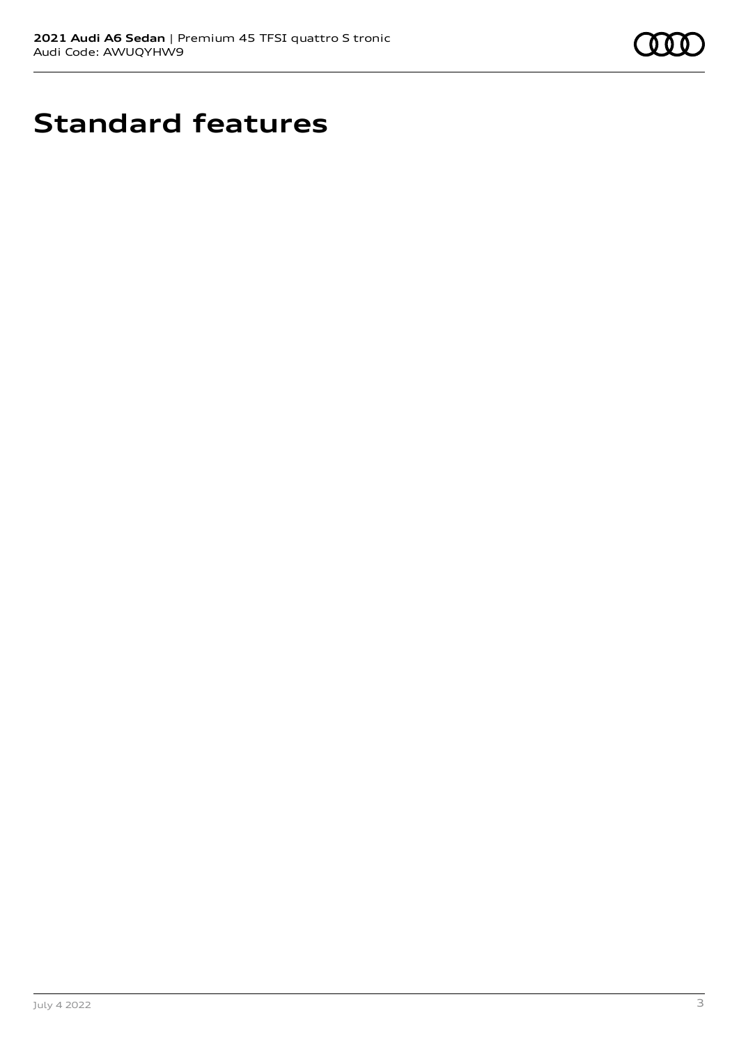

# **Standard features**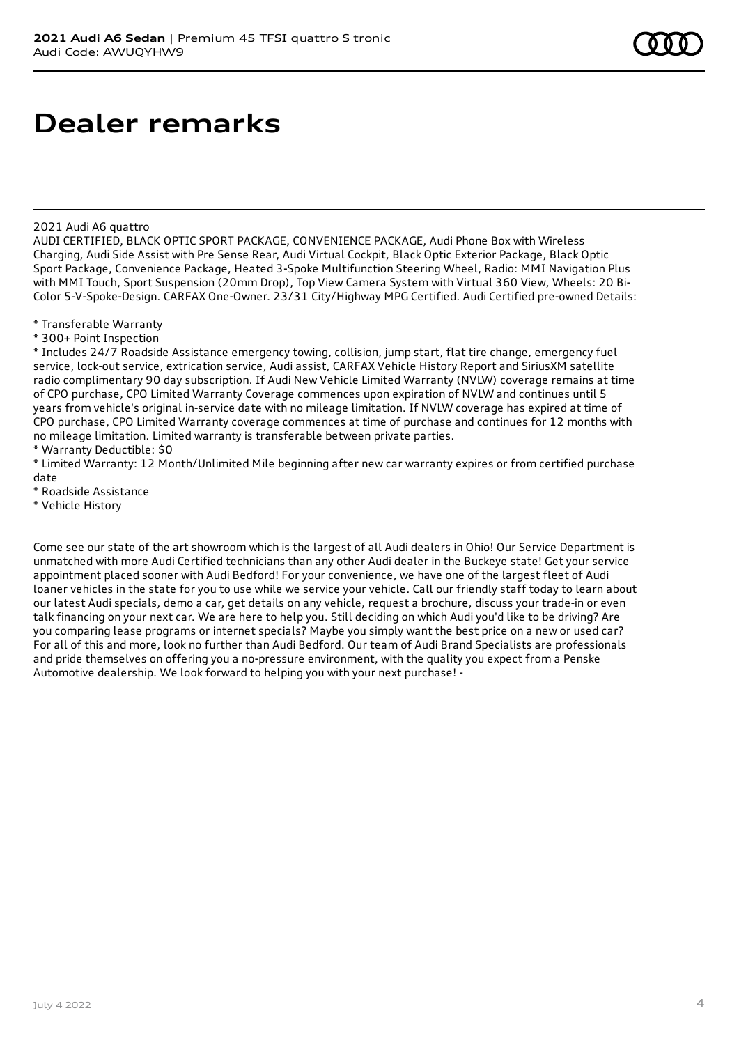2021 Audi A6 quattro

AUDI CERTIFIED, BLACK OPTIC SPORT PACKAGE, CONVENIENCE PACKAGE, Audi Phone Box with Wireless Charging, Audi Side Assist with Pre Sense Rear, Audi Virtual Cockpit, Black Optic Exterior Package, Black Optic Sport Package, Convenience Package, Heated 3-Spoke Multifunction Steering Wheel, Radio: MMI Navigation Plus with MMI Touch, Sport Suspension (20mm Drop), Top View Camera System with Virtual 360 View, Wheels: 20 Bi-Color 5-V-Spoke-Design. CARFAX One-Owner. 23/31 City/Highway MPG Certified. Audi Certified pre-owned Details:

\* Transferable Warranty

\* 300+ Point Inspection

\* Includes 24/7 Roadside Assistance emergency towing, collision, jump start, flat tire change, emergency fuel service, lock-out service, extrication service, Audi assist, CARFAX Vehicle History Report and SiriusXM satellite radio complimentary 90 day subscription. If Audi New Vehicle Limited Warranty (NVLW) coverage remains at time of CPO purchase, CPO Limited Warranty Coverage commences upon expiration of NVLW and continues until 5 years from vehicle's original in-service date with no mileage limitation. If NVLW coverage has expired at time of CPO purchase, CPO Limited Warranty coverage commences at time of purchase and continues for 12 months with no mileage limitation. Limited warranty is transferable between private parties.

\* Warranty Deductible: \$0

\* Limited Warranty: 12 Month/Unlimited Mile beginning after new car warranty expires or from certified purchase date

\* Roadside Assistance

\* Vehicle History

Come see our state of the art showroom which is the largest of all Audi dealers in Ohio! Our Service Department is unmatched with more Audi Certified technicians than any other Audi dealer in the Buckeye state! Get your service appointment placed sooner with Audi Bedford! For your convenience, we have one of the largest fleet of Audi loaner vehicles in the state for you to use while we service your vehicle. Call our friendly staff today to learn about our latest Audi specials, demo a car, get details on any vehicle, request a brochure, discuss your trade-in or even talk financing on your next car. We are here to help you. Still deciding on which Audi you'd like to be driving? Are you comparing lease programs or internet specials? Maybe you simply want the best price on a new or used car? For all of this and more, look no further than Audi Bedford. Our team of Audi Brand Specialists are professionals and pride themselves on offering you a no-pressure environment, with the quality you expect from a Penske Automotive dealership. We look forward to helping you with your next purchase! -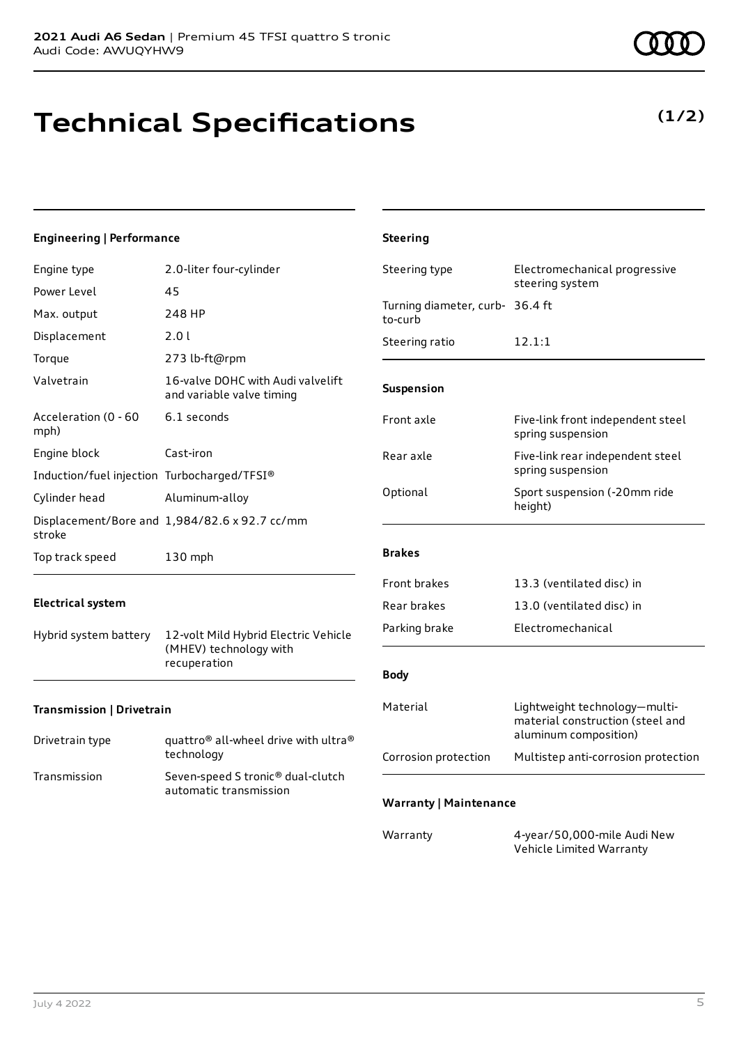# **Technical Specifications**

### **Engineering | Performance**

| Engine type                                 | 2.0-liter four-cylinder                                        | Steer          |
|---------------------------------------------|----------------------------------------------------------------|----------------|
| Power Level                                 | 45                                                             |                |
| Max. output                                 | 248 HP                                                         | Turni<br>to-cu |
| Displacement                                | 2.01                                                           | Steer          |
| Torque                                      | 273 lb-ft@rpm                                                  |                |
| Valvetrain                                  | 16-valve DOHC with Audi valvelift<br>and variable valve timing | Susp           |
| Acceleration (0 - 60<br>mph)                | 6.1 seconds                                                    | Front          |
| Engine block                                | Cast-iron                                                      | Rear           |
| Induction/fuel injection Turbocharged/TFSI® |                                                                |                |
| Cylinder head                               | Aluminum-alloy                                                 | Optic          |
| stroke                                      | Displacement/Bore and 1,984/82.6 x 92.7 cc/mm                  |                |
| Top track speed                             | 130 mph                                                        | <b>Brak</b>    |
|                                             |                                                                |                |

### **Electrical system**

Hybrid system battery 12-volt Mild Hybrid Electric Vehicle (MHEV) technology with recuperation

### **Transmission | Drivetrain**

| Drivetrain type | quattro <sup>®</sup> all-wheel drive with ultra <sup>®</sup><br>technology |
|-----------------|----------------------------------------------------------------------------|
| Transmission    | Seven-speed S tronic <sup>®</sup> dual-clutch<br>automatic transmission    |

| <b>Steering</b>                            |                                                                                            |
|--------------------------------------------|--------------------------------------------------------------------------------------------|
| Steering type                              | Electromechanical progressive<br>steering system                                           |
| Turning diameter, curb- 36.4 ft<br>to-curb |                                                                                            |
| Steering ratio                             | 12.1:1                                                                                     |
| Suspension                                 |                                                                                            |
| Front axle                                 | Five-link front independent steel<br>spring suspension                                     |
| Rear axle                                  | Five-link rear independent steel<br>spring suspension                                      |
| Optional                                   | Sport suspension (-20mm ride<br>height)                                                    |
| <b>Brakes</b>                              |                                                                                            |
| <b>Front brakes</b>                        | 13.3 (ventilated disc) in                                                                  |
| Rear brakes                                | 13.0 (ventilated disc) in                                                                  |
| Parking brake                              | Electromechanical                                                                          |
| <b>Body</b>                                |                                                                                            |
| Material                                   | Lightweight technology-multi-<br>material construction (steel and<br>aluminum composition) |
| Corrosion protection                       | Multistep anti-corrosion protection                                                        |
| <b>Warranty   Maintenance</b>              |                                                                                            |
| Warranty                                   | 4-year/50,000-mile Audi New                                                                |

Vehicle Limited Warranty

## **(1/2)**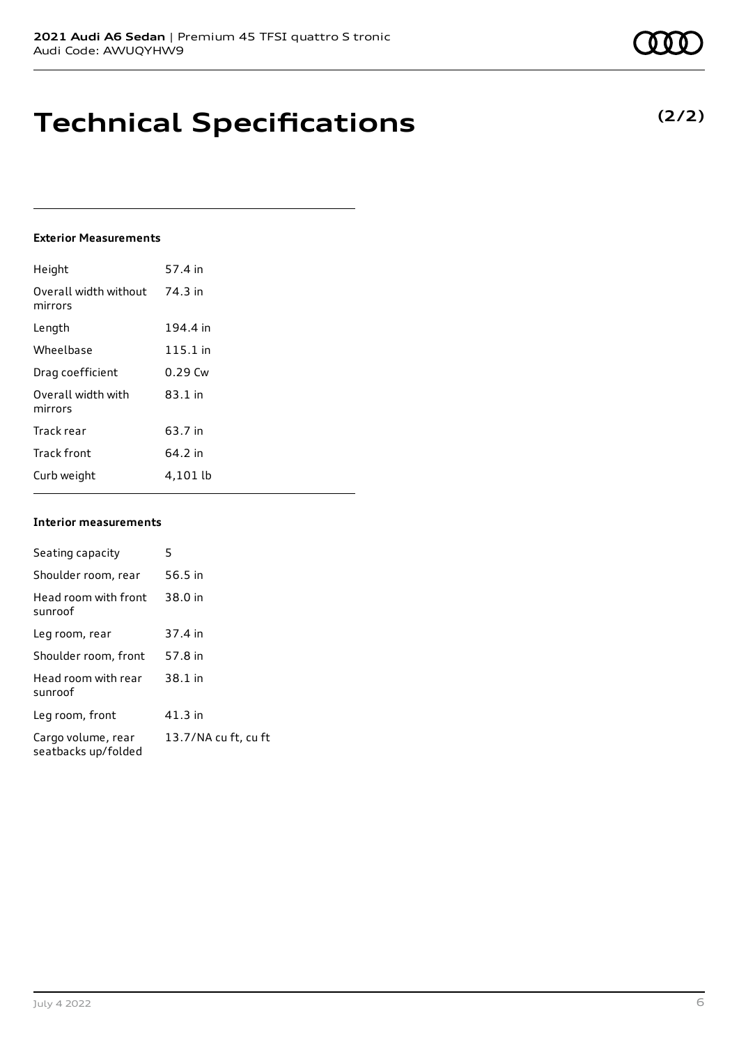# **Technical Specifications**

### **Exterior Measurements**

| Height                           | 57.4 in   |
|----------------------------------|-----------|
| Overall width without<br>mirrors | 74.3 in   |
| Length                           | 194.4 in  |
| Wheelbase                        | 115.1 in  |
| Drag coefficient                 | $0.29$ Cw |
| Overall width with<br>mirrors    | $83.1$ in |
| Track rear                       | 63.7 in   |
| <b>Track front</b>               | 64.2 in   |
| Curb weight                      | 4,101 lb  |

#### **Interior measurements**

| Seating capacity                          | 5                    |
|-------------------------------------------|----------------------|
| Shoulder room, rear                       | 56.5 in              |
| Head room with front<br>sunroof           | 38.0 in              |
| Leg room, rear                            | 37.4 in              |
| Shoulder room, front                      | 57.8 in              |
| Head room with rear<br>sunroof            | 38.1 in              |
| Leg room, front                           | 41.3 in              |
| Cargo volume, rear<br>seatbacks up/folded | 13.7/NA cu ft, cu ft |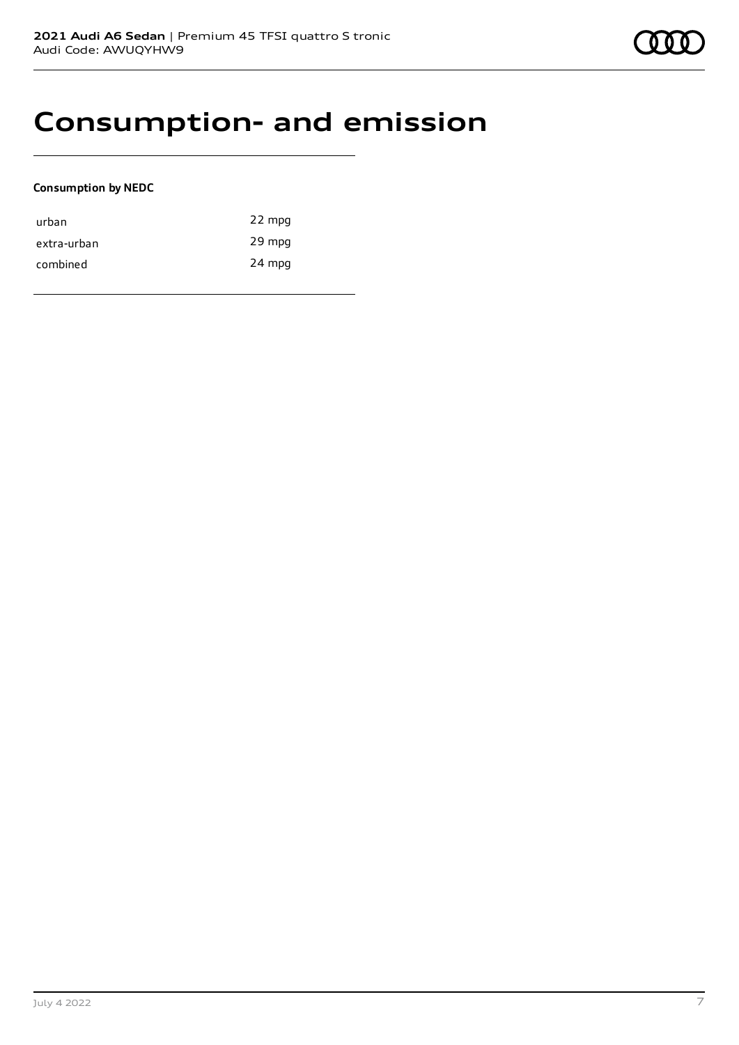# **Consumption- and emission**

### **Consumption by NEDC**

| urban       | 22 mpg |
|-------------|--------|
| extra-urban | 29 mpg |
| combined    | 24 mpg |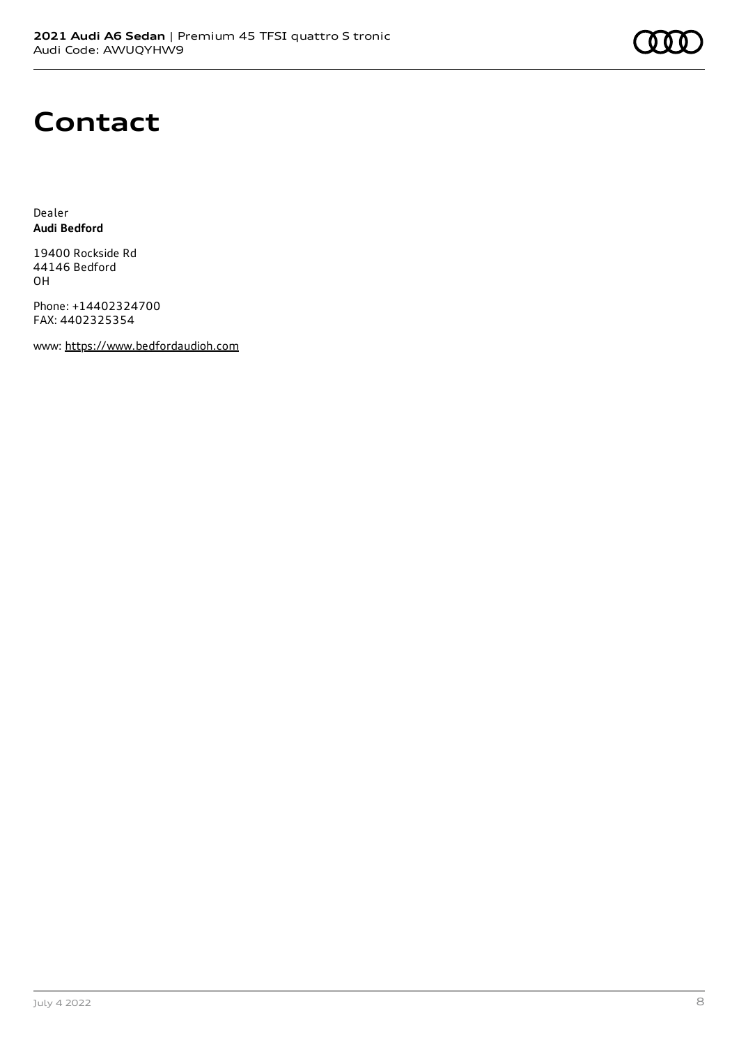# **Contact**

Dealer **Audi Bedford**

19400 Rockside Rd 44146 Bedford OH

Phone: +14402324700 FAX: 4402325354

www: [https://www.bedfordaudioh.com](https://www.bedfordaudioh.com/)